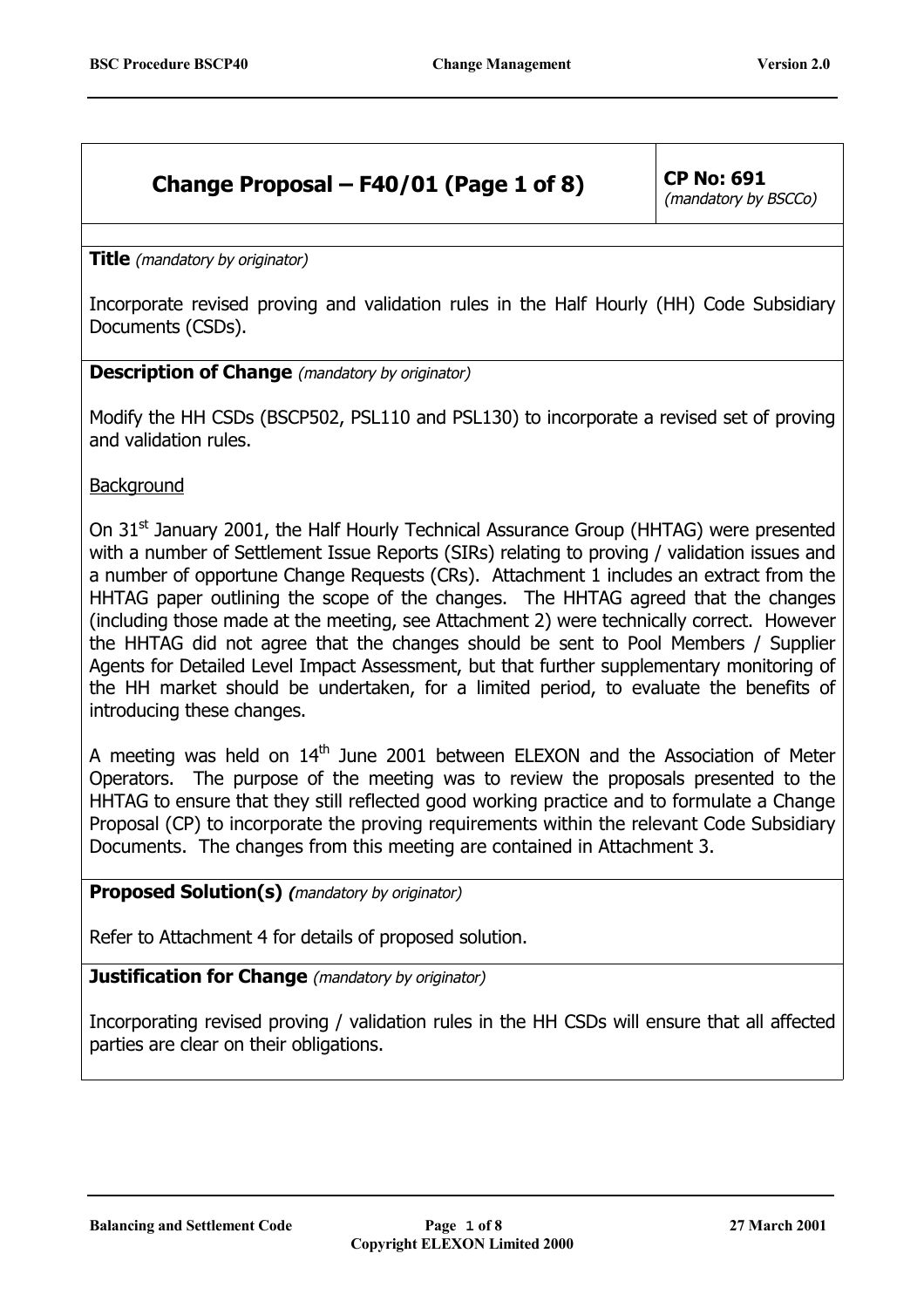# **Change Proposal – F40/01 (Page 1 of 8)** CP No:  $691$

(mandatory by BSCCo)

**Title** (mandatory by originator)

Incorporate revised proving and validation rules in the Half Hourly (HH) Code Subsidiary Documents (CSDs).

#### **Description of Change** (mandatory by originator)

Modify the HH CSDs (BSCP502, PSL110 and PSL130) to incorporate a revised set of proving and validation rules.

**Background** 

On 31<sup>st</sup> January 2001, the Half Hourly Technical Assurance Group (HHTAG) were presented with a number of Settlement Issue Reports (SIRs) relating to proving / validation issues and a number of opportune Change Requests (CRs). Attachment 1 includes an extract from the HHTAG paper outlining the scope of the changes. The HHTAG agreed that the changes (including those made at the meeting, see Attachment 2) were technically correct. However the HHTAG did not agree that the changes should be sent to Pool Members / Supplier Agents for Detailed Level Impact Assessment, but that further supplementary monitoring of the HH market should be undertaken, for a limited period, to evaluate the benefits of introducing these changes.

A meeting was held on  $14<sup>th</sup>$  June 2001 between ELEXON and the Association of Meter Operators. The purpose of the meeting was to review the proposals presented to the HHTAG to ensure that they still reflected good working practice and to formulate a Change Proposal (CP) to incorporate the proving requirements within the relevant Code Subsidiary Documents. The changes from this meeting are contained in Attachment 3.

### **Proposed Solution(s) (**mandatory by originator)

Refer to Attachment 4 for details of proposed solution.

**Justification for Change** (mandatory by originator)

Incorporating revised proving / validation rules in the HH CSDs will ensure that all affected parties are clear on their obligations.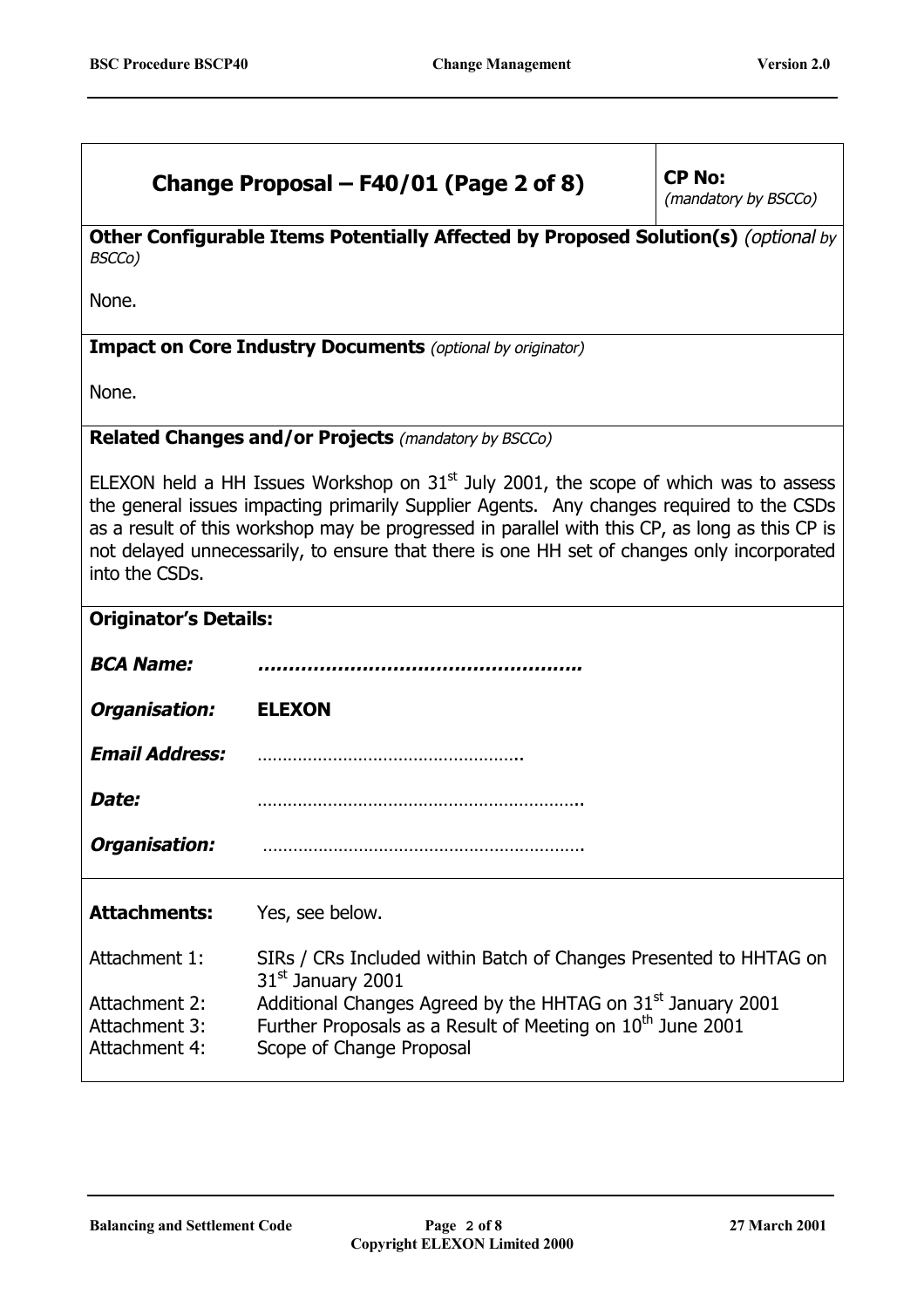| Change Proposal – F40/01 (Page 2 of 8)                                                                                                                                                                                                                                                                                                                                                               | <b>CP No:</b><br>(mandatory by BSCCo)                                                                                                                                         |  |  |
|------------------------------------------------------------------------------------------------------------------------------------------------------------------------------------------------------------------------------------------------------------------------------------------------------------------------------------------------------------------------------------------------------|-------------------------------------------------------------------------------------------------------------------------------------------------------------------------------|--|--|
| Other Configurable Items Potentially Affected by Proposed Solution(s) (optional by<br>BSCCo)                                                                                                                                                                                                                                                                                                         |                                                                                                                                                                               |  |  |
| None.                                                                                                                                                                                                                                                                                                                                                                                                |                                                                                                                                                                               |  |  |
|                                                                                                                                                                                                                                                                                                                                                                                                      | <b>Impact on Core Industry Documents</b> (optional by originator)                                                                                                             |  |  |
| None.                                                                                                                                                                                                                                                                                                                                                                                                |                                                                                                                                                                               |  |  |
|                                                                                                                                                                                                                                                                                                                                                                                                      | <b>Related Changes and/or Projects (mandatory by BSCCo)</b>                                                                                                                   |  |  |
| ELEXON held a HH Issues Workshop on $31st$ July 2001, the scope of which was to assess<br>the general issues impacting primarily Supplier Agents. Any changes required to the CSDs<br>as a result of this workshop may be progressed in parallel with this CP, as long as this CP is<br>not delayed unnecessarily, to ensure that there is one HH set of changes only incorporated<br>into the CSDs. |                                                                                                                                                                               |  |  |
| <b>Originator's Details:</b>                                                                                                                                                                                                                                                                                                                                                                         |                                                                                                                                                                               |  |  |
| <b>BCA Name:</b>                                                                                                                                                                                                                                                                                                                                                                                     |                                                                                                                                                                               |  |  |
| Organisation:                                                                                                                                                                                                                                                                                                                                                                                        | <b>ELEXON</b>                                                                                                                                                                 |  |  |
| <b>Email Address:</b>                                                                                                                                                                                                                                                                                                                                                                                |                                                                                                                                                                               |  |  |
| Date:                                                                                                                                                                                                                                                                                                                                                                                                |                                                                                                                                                                               |  |  |
| Organisation:                                                                                                                                                                                                                                                                                                                                                                                        |                                                                                                                                                                               |  |  |
| <b>Attachments:</b>                                                                                                                                                                                                                                                                                                                                                                                  | Yes, see below.                                                                                                                                                               |  |  |
| Attachment 1:                                                                                                                                                                                                                                                                                                                                                                                        | SIRs / CRs Included within Batch of Changes Presented to HHTAG on<br>31 <sup>st</sup> January 2001                                                                            |  |  |
| Attachment 2:<br>Attachment 3:<br>Attachment 4:                                                                                                                                                                                                                                                                                                                                                      | Additional Changes Agreed by the HHTAG on 31 <sup>st</sup> January 2001<br>Further Proposals as a Result of Meeting on 10 <sup>th</sup> June 2001<br>Scope of Change Proposal |  |  |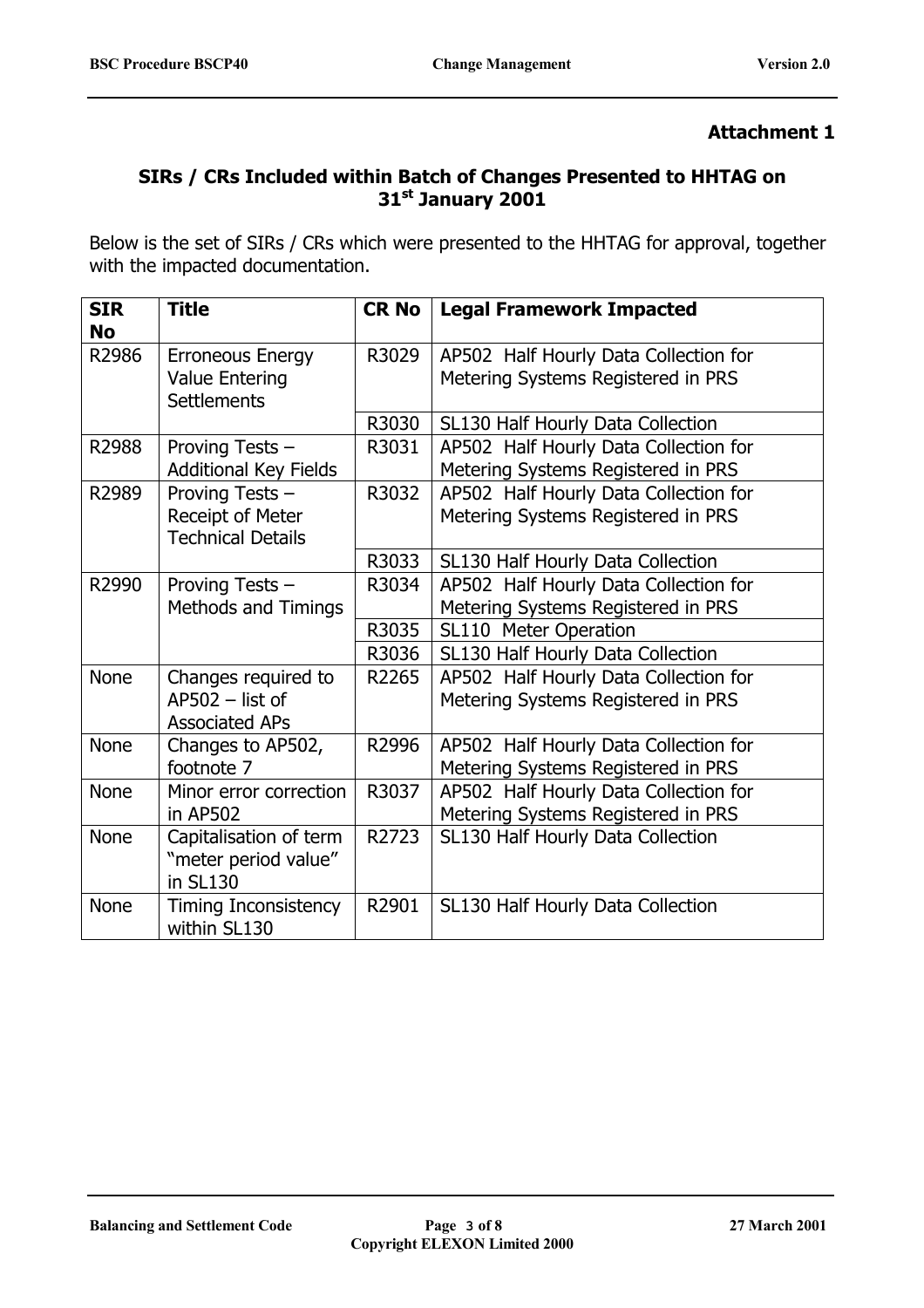### **SIRs / CRs Included within Batch of Changes Presented to HHTAG on 31st January 2001**

Below is the set of SIRs / CRs which were presented to the HHTAG for approval, together with the impacted documentation.

| <b>SIR</b><br><b>No</b> | <b>Title</b>                                 | <b>CR No</b> | <b>Legal Framework Impacted</b>       |
|-------------------------|----------------------------------------------|--------------|---------------------------------------|
| R2986                   | <b>Erroneous Energy</b>                      | R3029        | AP502 Half Hourly Data Collection for |
|                         | <b>Value Entering</b><br><b>Settlements</b>  |              | Metering Systems Registered in PRS    |
|                         |                                              | R3030        | SL130 Half Hourly Data Collection     |
| R2988                   | Proving Tests -                              | R3031        | AP502 Half Hourly Data Collection for |
|                         | <b>Additional Key Fields</b>                 |              | Metering Systems Registered in PRS    |
| R2989                   | Proving Tests -                              | R3032        | AP502 Half Hourly Data Collection for |
|                         | Receipt of Meter<br><b>Technical Details</b> |              | Metering Systems Registered in PRS    |
|                         |                                              | R3033        | SL130 Half Hourly Data Collection     |
| R2990                   | Proving Tests -                              | R3034        | AP502 Half Hourly Data Collection for |
|                         | <b>Methods and Timings</b>                   |              | Metering Systems Registered in PRS    |
|                         |                                              | R3035        | SL110 Meter Operation                 |
|                         |                                              | R3036        | SL130 Half Hourly Data Collection     |
| <b>None</b>             | Changes required to                          | R2265        | AP502 Half Hourly Data Collection for |
|                         | $AP502 - list of$<br><b>Associated APs</b>   |              | Metering Systems Registered in PRS    |
| <b>None</b>             | Changes to AP502,                            | R2996        | AP502 Half Hourly Data Collection for |
|                         | footnote 7                                   |              | Metering Systems Registered in PRS    |
| <b>None</b>             | Minor error correction                       | R3037        | AP502 Half Hourly Data Collection for |
|                         | in AP502                                     |              | Metering Systems Registered in PRS    |
| <b>None</b>             | Capitalisation of term                       | R2723        | SL130 Half Hourly Data Collection     |
|                         | "meter period value"<br>in SL130             |              |                                       |
| <b>None</b>             |                                              | R2901        |                                       |
|                         | <b>Timing Inconsistency</b><br>within SL130  |              | SL130 Half Hourly Data Collection     |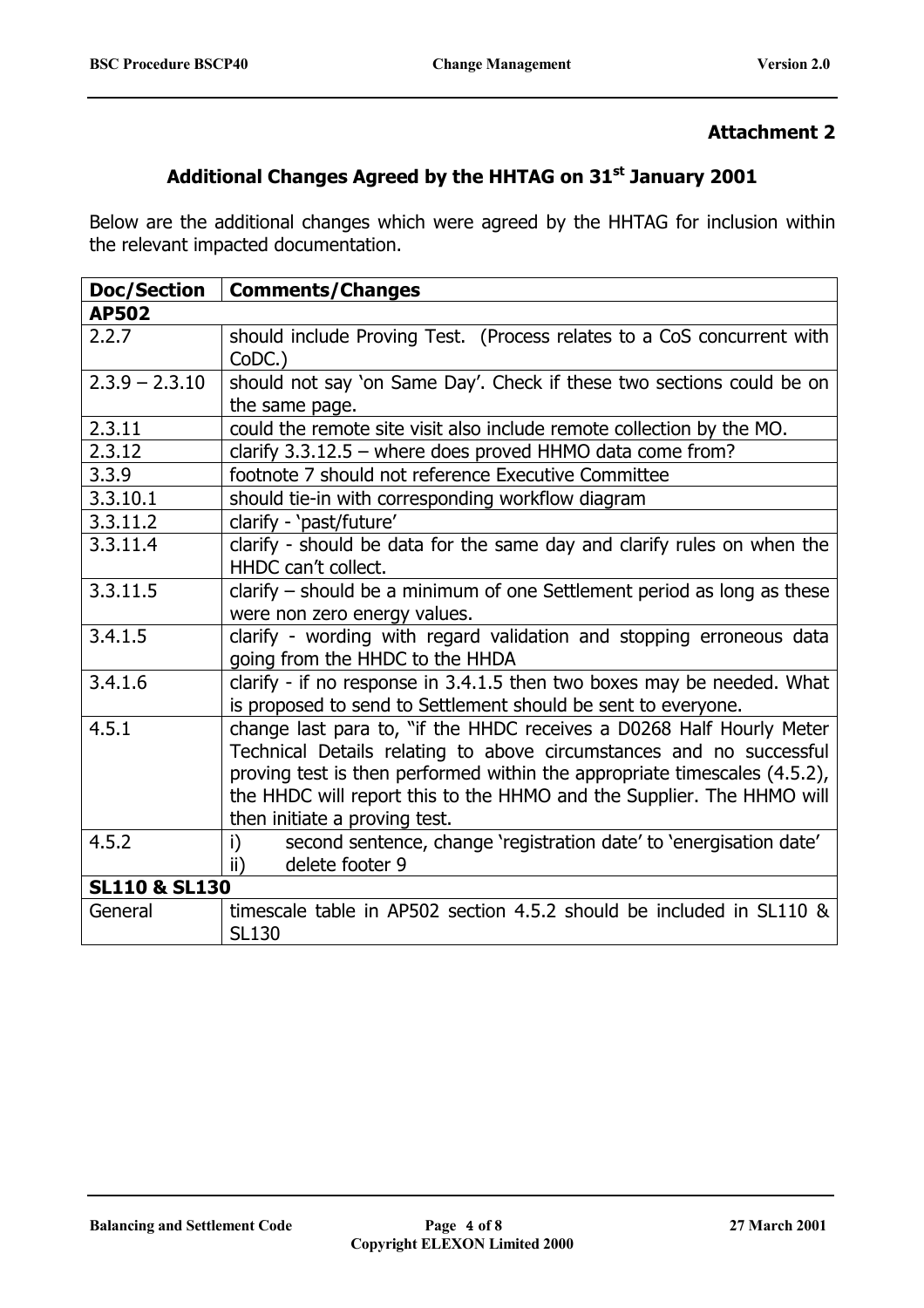## **Additional Changes Agreed by the HHTAG on 31st January 2001**

Below are the additional changes which were agreed by the HHTAG for inclusion within the relevant impacted documentation.

| <b>Doc/Section</b>       | <b>Comments/Changes</b>                                                                                                                                                                                                                                                                                                            |
|--------------------------|------------------------------------------------------------------------------------------------------------------------------------------------------------------------------------------------------------------------------------------------------------------------------------------------------------------------------------|
| <b>AP502</b>             |                                                                                                                                                                                                                                                                                                                                    |
| 2.2.7                    | should include Proving Test. (Process relates to a CoS concurrent with<br>CoDC.)                                                                                                                                                                                                                                                   |
| $2.3.9 - 2.3.10$         | should not say 'on Same Day'. Check if these two sections could be on<br>the same page.                                                                                                                                                                                                                                            |
| 2.3.11                   | could the remote site visit also include remote collection by the MO.                                                                                                                                                                                                                                                              |
| 2.3.12                   | clarify $3.3.12.5$ – where does proved HHMO data come from?                                                                                                                                                                                                                                                                        |
| 3.3.9                    | footnote 7 should not reference Executive Committee                                                                                                                                                                                                                                                                                |
| 3.3.10.1                 | should tie-in with corresponding workflow diagram                                                                                                                                                                                                                                                                                  |
| 3.3.11.2                 | clarify - 'past/future'                                                                                                                                                                                                                                                                                                            |
| 3.3.11.4                 | clarify - should be data for the same day and clarify rules on when the<br>HHDC can't collect.                                                                                                                                                                                                                                     |
| 3.3.11.5                 | clarify - should be a minimum of one Settlement period as long as these<br>were non zero energy values.                                                                                                                                                                                                                            |
| 3.4.1.5                  | clarify - wording with regard validation and stopping erroneous data<br>going from the HHDC to the HHDA                                                                                                                                                                                                                            |
| 3.4.1.6                  | clarify - if no response in 3.4.1.5 then two boxes may be needed. What<br>is proposed to send to Settlement should be sent to everyone.                                                                                                                                                                                            |
| 4.5.1                    | change last para to, "if the HHDC receives a D0268 Half Hourly Meter<br>Technical Details relating to above circumstances and no successful<br>proving test is then performed within the appropriate timescales (4.5.2),<br>the HHDC will report this to the HHMO and the Supplier. The HHMO will<br>then initiate a proving test. |
| 4.5.2                    | second sentence, change 'registration date' to 'energisation date'<br>i)<br>delete footer 9<br>ii)                                                                                                                                                                                                                                 |
| <b>SL110 &amp; SL130</b> |                                                                                                                                                                                                                                                                                                                                    |
| General                  | timescale table in AP502 section 4.5.2 should be included in SL110 &<br><b>SL130</b>                                                                                                                                                                                                                                               |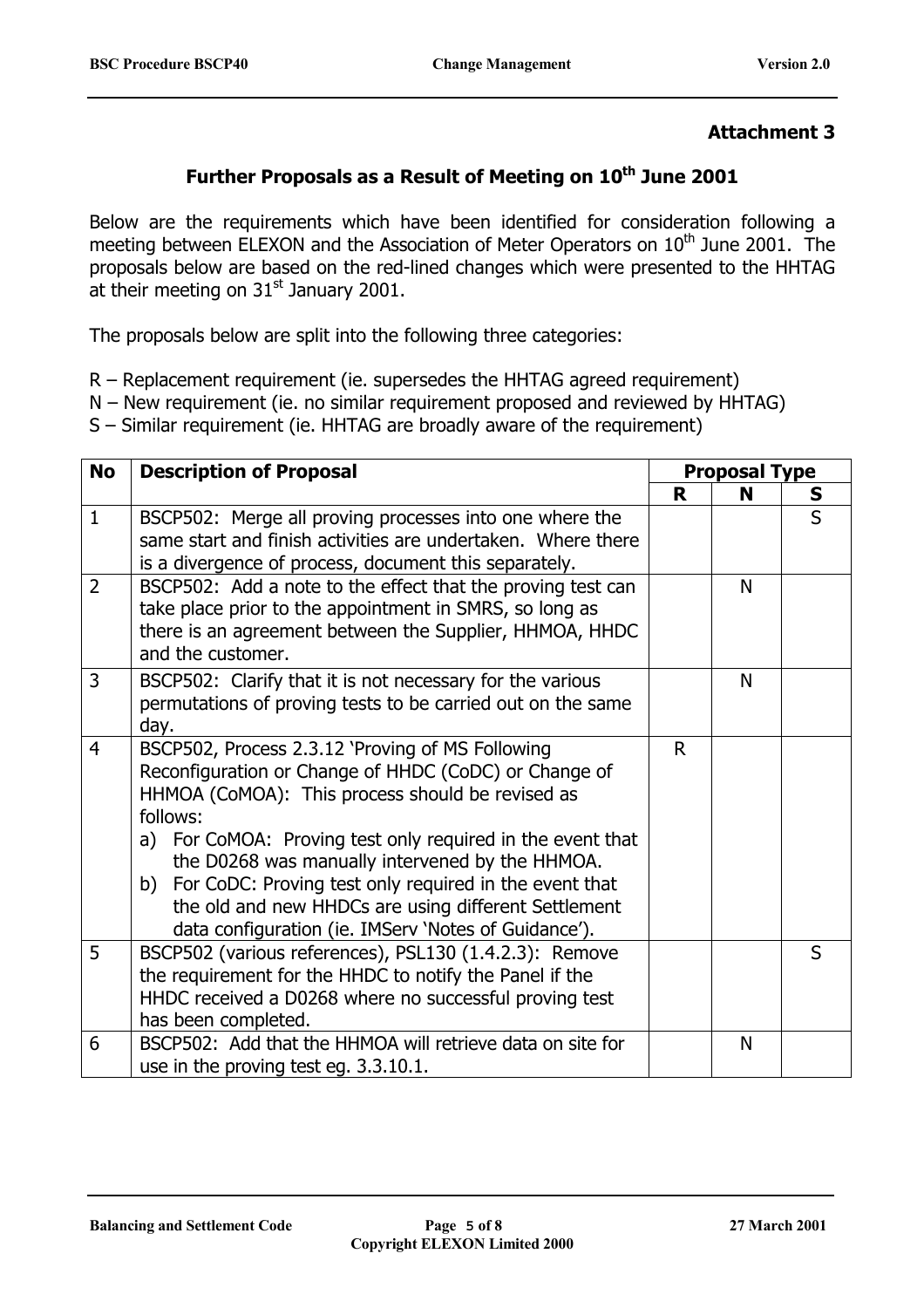## Further Proposals as a Result of Meeting on 10<sup>th</sup> June 2001

Below are the requirements which have been identified for consideration following a meeting between ELEXON and the Association of Meter Operators on  $10<sup>th</sup>$  June 2001. The proposals below are based on the red-lined changes which were presented to the HHTAG at their meeting on  $31<sup>st</sup>$  January 2001.

The proposals below are split into the following three categories:

- R Replacement requirement (ie. supersedes the HHTAG agreed requirement)
- N New requirement (ie. no similar requirement proposed and reviewed by HHTAG)
- S Similar requirement (ie. HHTAG are broadly aware of the requirement)

| <b>No</b>      | <b>Description of Proposal</b>                                                                                                                                                                                                                                                                                                                                                                                                                                          |    | <b>Proposal Type</b> |                |  |
|----------------|-------------------------------------------------------------------------------------------------------------------------------------------------------------------------------------------------------------------------------------------------------------------------------------------------------------------------------------------------------------------------------------------------------------------------------------------------------------------------|----|----------------------|----------------|--|
|                |                                                                                                                                                                                                                                                                                                                                                                                                                                                                         | R  | N                    | S              |  |
| $\mathbf{1}$   | BSCP502: Merge all proving processes into one where the<br>same start and finish activities are undertaken. Where there<br>is a divergence of process, document this separately.                                                                                                                                                                                                                                                                                        |    |                      | $\overline{S}$ |  |
| $\overline{2}$ | BSCP502: Add a note to the effect that the proving test can<br>take place prior to the appointment in SMRS, so long as<br>there is an agreement between the Supplier, HHMOA, HHDC<br>and the customer.                                                                                                                                                                                                                                                                  |    | N                    |                |  |
| 3              | BSCP502: Clarify that it is not necessary for the various<br>permutations of proving tests to be carried out on the same<br>day.                                                                                                                                                                                                                                                                                                                                        |    | N                    |                |  |
| $\overline{4}$ | BSCP502, Process 2.3.12 'Proving of MS Following<br>Reconfiguration or Change of HHDC (CoDC) or Change of<br>HHMOA (CoMOA): This process should be revised as<br>follows:<br>a) For CoMOA: Proving test only required in the event that<br>the D0268 was manually intervened by the HHMOA.<br>b) For CoDC: Proving test only required in the event that<br>the old and new HHDCs are using different Settlement<br>data configuration (ie. IMServ 'Notes of Guidance'). | R. |                      |                |  |
| 5              | BSCP502 (various references), PSL130 (1.4.2.3): Remove<br>the requirement for the HHDC to notify the Panel if the<br>HHDC received a D0268 where no successful proving test<br>has been completed.                                                                                                                                                                                                                                                                      |    |                      | $\mathsf{S}$   |  |
| 6              | BSCP502: Add that the HHMOA will retrieve data on site for<br>use in the proving test eg. 3.3.10.1.                                                                                                                                                                                                                                                                                                                                                                     |    | N                    |                |  |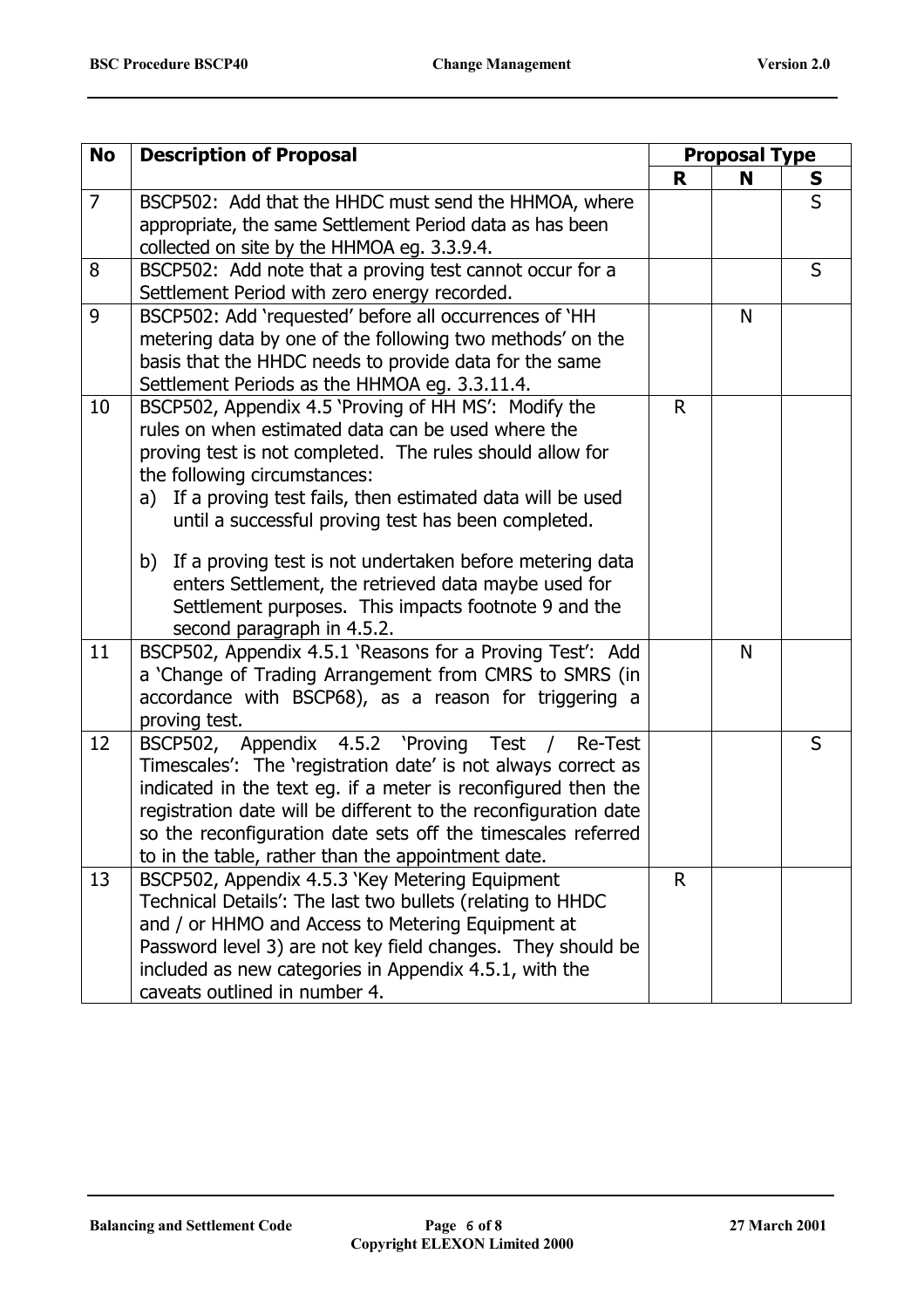| <b>No</b>      | <b>Description of Proposal</b>                                  | <b>Proposal Type</b> |   |              |
|----------------|-----------------------------------------------------------------|----------------------|---|--------------|
|                |                                                                 | R                    | N | S            |
| $\overline{7}$ | BSCP502: Add that the HHDC must send the HHMOA, where           |                      |   | $\mathsf{S}$ |
|                | appropriate, the same Settlement Period data as has been        |                      |   |              |
|                | collected on site by the HHMOA eg. 3.3.9.4.                     |                      |   |              |
| 8              | BSCP502: Add note that a proving test cannot occur for a        |                      |   | S            |
|                | Settlement Period with zero energy recorded.                    |                      |   |              |
| 9              | BSCP502: Add 'requested' before all occurrences of 'HH          |                      | N |              |
|                | metering data by one of the following two methods' on the       |                      |   |              |
|                | basis that the HHDC needs to provide data for the same          |                      |   |              |
|                | Settlement Periods as the HHMOA eg. 3.3.11.4.                   |                      |   |              |
| 10             | BSCP502, Appendix 4.5 'Proving of HH MS': Modify the            | $\mathsf{R}$         |   |              |
|                | rules on when estimated data can be used where the              |                      |   |              |
|                | proving test is not completed. The rules should allow for       |                      |   |              |
|                | the following circumstances:                                    |                      |   |              |
|                | a) If a proving test fails, then estimated data will be used    |                      |   |              |
|                | until a successful proving test has been completed.             |                      |   |              |
|                | b) If a proving test is not undertaken before metering data     |                      |   |              |
|                | enters Settlement, the retrieved data maybe used for            |                      |   |              |
|                | Settlement purposes. This impacts footnote 9 and the            |                      |   |              |
|                | second paragraph in 4.5.2.                                      |                      |   |              |
| 11             | BSCP502, Appendix 4.5.1 'Reasons for a Proving Test': Add       |                      | N |              |
|                | a 'Change of Trading Arrangement from CMRS to SMRS (in          |                      |   |              |
|                | accordance with BSCP68), as a reason for triggering a           |                      |   |              |
|                | proving test.                                                   |                      |   |              |
| 12             | BSCP502, Appendix 4.5.2 'Proving Test /<br>Re-Test              |                      |   | S            |
|                | Timescales': The 'registration date' is not always correct as   |                      |   |              |
|                | indicated in the text eg. if a meter is reconfigured then the   |                      |   |              |
|                | registration date will be different to the reconfiguration date |                      |   |              |
|                | so the reconfiguration date sets off the timescales referred    |                      |   |              |
|                | to in the table, rather than the appointment date.              |                      |   |              |
| 13             | BSCP502, Appendix 4.5.3 'Key Metering Equipment                 | $\mathsf R$          |   |              |
|                | Technical Details': The last two bullets (relating to HHDC      |                      |   |              |
|                | and / or HHMO and Access to Metering Equipment at               |                      |   |              |
|                | Password level 3) are not key field changes. They should be     |                      |   |              |
|                | included as new categories in Appendix 4.5.1, with the          |                      |   |              |
|                | caveats outlined in number 4.                                   |                      |   |              |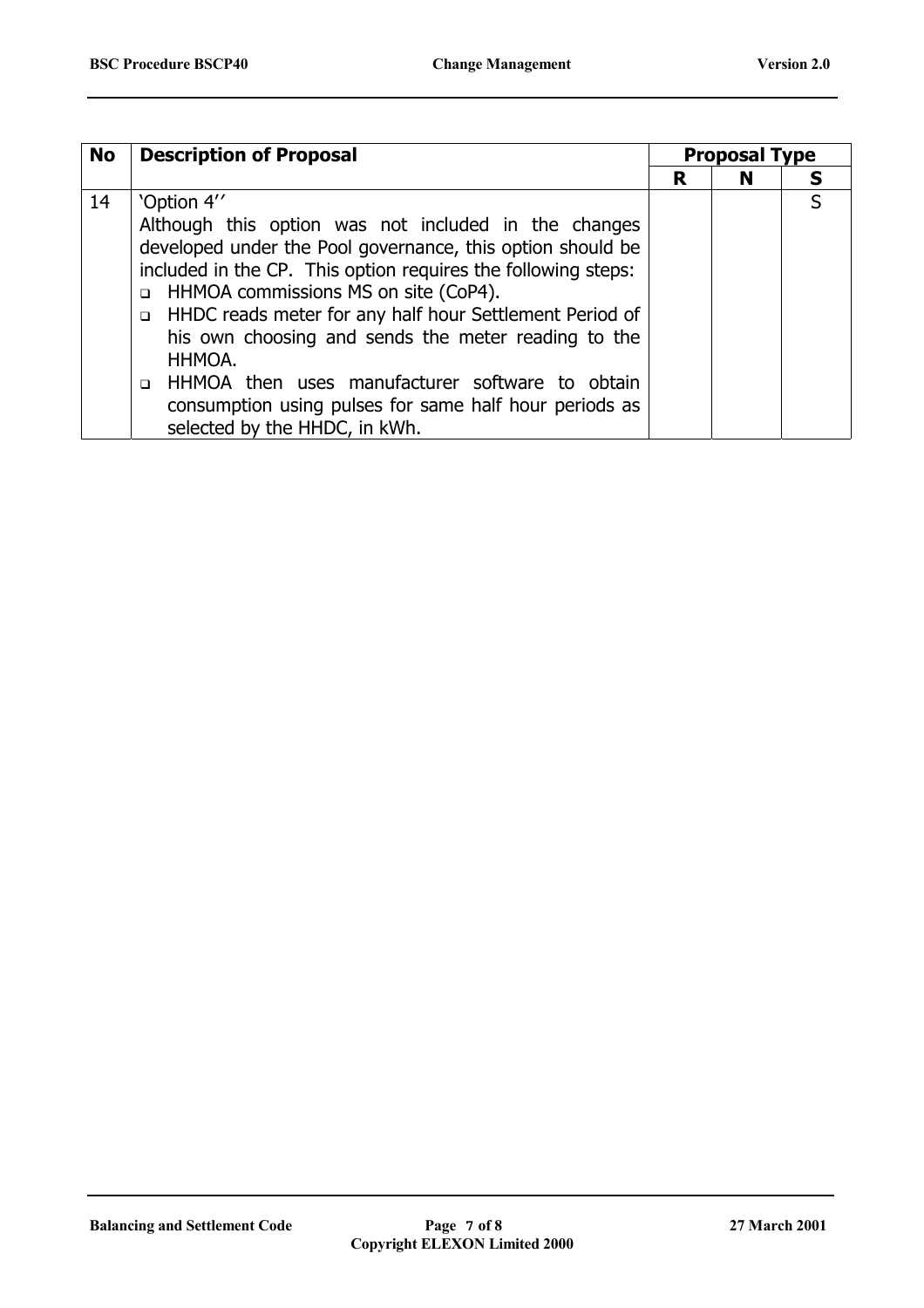| <b>No</b> | <b>Description of Proposal</b>                                    | <b>Proposal Type</b> |   |  |
|-----------|-------------------------------------------------------------------|----------------------|---|--|
|           |                                                                   | R                    | N |  |
| 14        | 'Option 4"                                                        |                      |   |  |
|           | Although this option was not included in the changes              |                      |   |  |
|           | developed under the Pool governance, this option should be        |                      |   |  |
|           | included in the CP. This option requires the following steps:     |                      |   |  |
|           | HHMOA commissions MS on site (CoP4).<br>$\Box$                    |                      |   |  |
|           | HHDC reads meter for any half hour Settlement Period of<br>$\Box$ |                      |   |  |
|           | his own choosing and sends the meter reading to the               |                      |   |  |
|           | HHMOA.                                                            |                      |   |  |
|           | HHMOA then uses manufacturer software to obtain<br>$\Box$         |                      |   |  |
|           | consumption using pulses for same half hour periods as            |                      |   |  |
|           | selected by the HHDC, in kWh.                                     |                      |   |  |